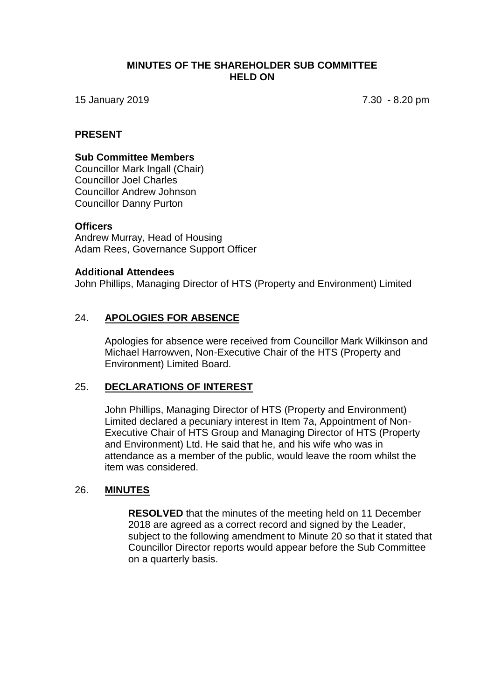#### **MINUTES OF THE SHAREHOLDER SUB COMMITTEE HELD ON**

15 January 2019 7.30 - 8.20 pm

#### **PRESENT**

#### **Sub Committee Members**

Councillor Mark Ingall (Chair) Councillor Joel Charles Councillor Andrew Johnson Councillor Danny Purton

#### **Officers**

Andrew Murray, Head of Housing Adam Rees, Governance Support Officer

#### **Additional Attendees**

John Phillips, Managing Director of HTS (Property and Environment) Limited

## 24. **APOLOGIES FOR ABSENCE**

Apologies for absence were received from Councillor Mark Wilkinson and Michael Harrowven, Non-Executive Chair of the HTS (Property and Environment) Limited Board.

## 25. **DECLARATIONS OF INTEREST**

John Phillips, Managing Director of HTS (Property and Environment) Limited declared a pecuniary interest in Item 7a, Appointment of Non-Executive Chair of HTS Group and Managing Director of HTS (Property and Environment) Ltd. He said that he, and his wife who was in attendance as a member of the public, would leave the room whilst the item was considered.

## 26. **MINUTES**

**RESOLVED** that the minutes of the meeting held on 11 December 2018 are agreed as a correct record and signed by the Leader, subject to the following amendment to Minute 20 so that it stated that Councillor Director reports would appear before the Sub Committee on a quarterly basis.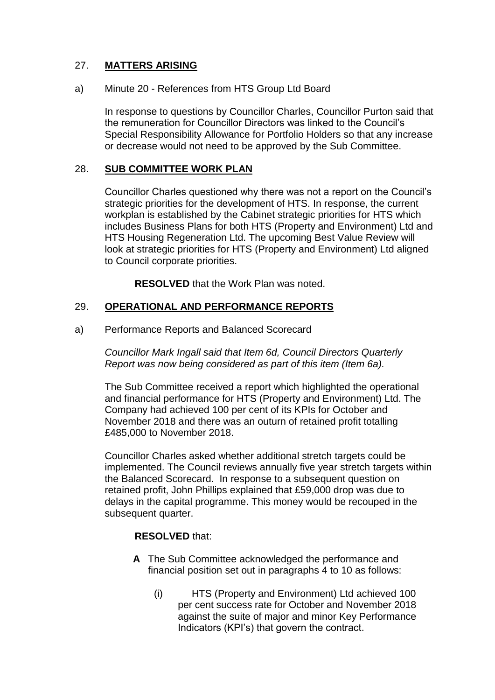# 27. **MATTERS ARISING**

## a) Minute 20 - References from HTS Group Ltd Board

In response to questions by Councillor Charles, Councillor Purton said that the remuneration for Councillor Directors was linked to the Council's Special Responsibility Allowance for Portfolio Holders so that any increase or decrease would not need to be approved by the Sub Committee.

## 28. **SUB COMMITTEE WORK PLAN**

Councillor Charles questioned why there was not a report on the Council's strategic priorities for the development of HTS. In response, the current workplan is established by the Cabinet strategic priorities for HTS which includes Business Plans for both HTS (Property and Environment) Ltd and HTS Housing Regeneration Ltd. The upcoming Best Value Review will look at strategic priorities for HTS (Property and Environment) Ltd aligned to Council corporate priorities.

**RESOLVED** that the Work Plan was noted.

## 29. **OPERATIONAL AND PERFORMANCE REPORTS**

#### a) Performance Reports and Balanced Scorecard

*Councillor Mark Ingall said that Item 6d, Council Directors Quarterly Report was now being considered as part of this item (Item 6a).*

The Sub Committee received a report which highlighted the operational and financial performance for HTS (Property and Environment) Ltd. The Company had achieved 100 per cent of its KPIs for October and November 2018 and there was an outurn of retained profit totalling £485,000 to November 2018.

Councillor Charles asked whether additional stretch targets could be implemented. The Council reviews annually five year stretch targets within the Balanced Scorecard. In response to a subsequent question on retained profit, John Phillips explained that £59,000 drop was due to delays in the capital programme. This money would be recouped in the subsequent quarter.

## **RESOLVED** that:

- **A** The Sub Committee acknowledged the performance and financial position set out in paragraphs 4 to 10 as follows:
	- (i) HTS (Property and Environment) Ltd achieved 100 per cent success rate for October and November 2018 against the suite of major and minor Key Performance Indicators (KPI's) that govern the contract.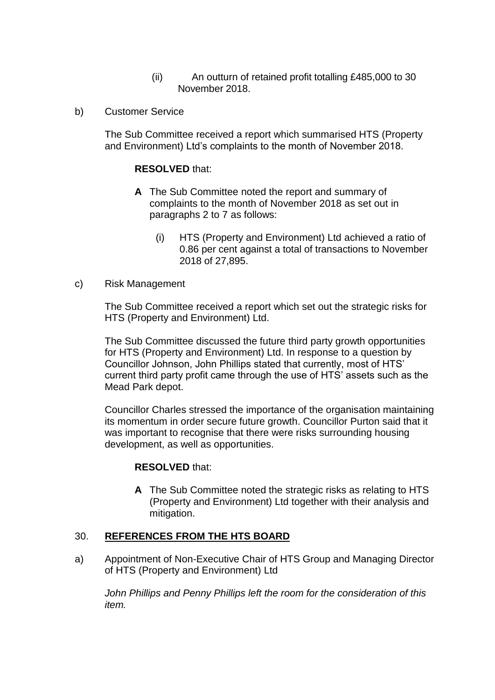- (ii) An outturn of retained profit totalling £485,000 to 30 November 2018.
- b) Customer Service

The Sub Committee received a report which summarised HTS (Property and Environment) Ltd's complaints to the month of November 2018.

#### **RESOLVED** that:

- **A** The Sub Committee noted the report and summary of complaints to the month of November 2018 as set out in paragraphs 2 to 7 as follows:
	- (i) HTS (Property and Environment) Ltd achieved a ratio of 0.86 per cent against a total of transactions to November 2018 of 27,895.

#### c) Risk Management

The Sub Committee received a report which set out the strategic risks for HTS (Property and Environment) Ltd.

The Sub Committee discussed the future third party growth opportunities for HTS (Property and Environment) Ltd. In response to a question by Councillor Johnson, John Phillips stated that currently, most of HTS' current third party profit came through the use of HTS' assets such as the Mead Park depot.

Councillor Charles stressed the importance of the organisation maintaining its momentum in order secure future growth. Councillor Purton said that it was important to recognise that there were risks surrounding housing development, as well as opportunities.

#### **RESOLVED** that:

**A** The Sub Committee noted the strategic risks as relating to HTS (Property and Environment) Ltd together with their analysis and mitigation.

#### 30. **REFERENCES FROM THE HTS BOARD**

a) Appointment of Non-Executive Chair of HTS Group and Managing Director of HTS (Property and Environment) Ltd

*John Phillips and Penny Phillips left the room for the consideration of this item.*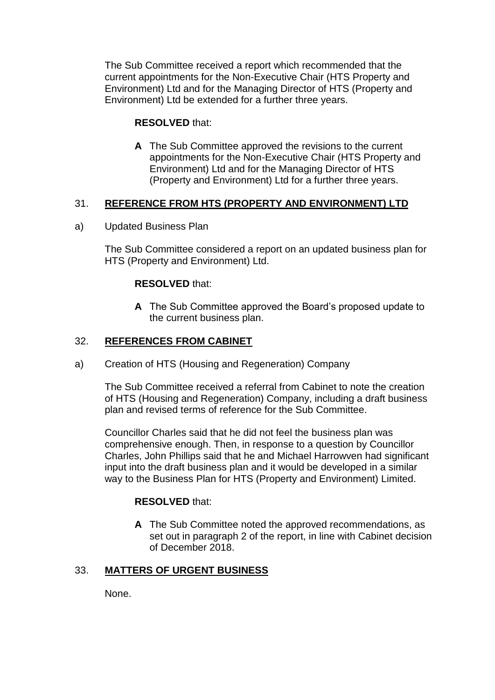The Sub Committee received a report which recommended that the current appointments for the Non-Executive Chair (HTS Property and Environment) Ltd and for the Managing Director of HTS (Property and Environment) Ltd be extended for a further three years.

## **RESOLVED** that:

**A** The Sub Committee approved the revisions to the current appointments for the Non-Executive Chair (HTS Property and Environment) Ltd and for the Managing Director of HTS (Property and Environment) Ltd for a further three years.

## 31. **REFERENCE FROM HTS (PROPERTY AND ENVIRONMENT) LTD**

a) Updated Business Plan

The Sub Committee considered a report on an updated business plan for HTS (Property and Environment) Ltd.

## **RESOLVED** that:

**A** The Sub Committee approved the Board's proposed update to the current business plan.

## 32. **REFERENCES FROM CABINET**

a) Creation of HTS (Housing and Regeneration) Company

The Sub Committee received a referral from Cabinet to note the creation of HTS (Housing and Regeneration) Company, including a draft business plan and revised terms of reference for the Sub Committee.

Councillor Charles said that he did not feel the business plan was comprehensive enough. Then, in response to a question by Councillor Charles, John Phillips said that he and Michael Harrowven had significant input into the draft business plan and it would be developed in a similar way to the Business Plan for HTS (Property and Environment) Limited.

## **RESOLVED** that:

**A** The Sub Committee noted the approved recommendations, as set out in paragraph 2 of the report, in line with Cabinet decision of December 2018.

## 33. **MATTERS OF URGENT BUSINESS**

None.